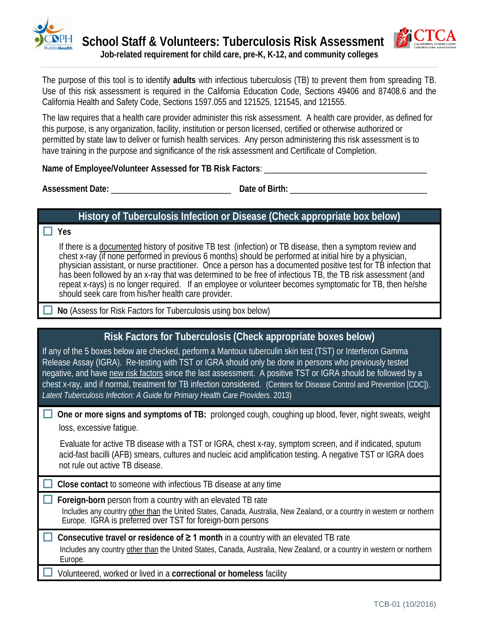



**Job-related requirement for child care, pre-K, K-12, and community colleges**

The purpose of this tool is to identify **adults** with infectious tuberculosis (TB) to prevent them from spreading TB. Use of this risk assessment is required in the California Education Code, Sections 49406 and 87408.6 and the California Health and Safety Code, Sections 1597.055 and 121525, 121545, and 121555.

The law requires that a health care provider administer this risk assessment. A health care provider, as defined for this purpose, is any organization, facility, institution or person licensed, certified or otherwise authorized or permitted by state law to deliver or furnish health services. Any person administering this risk assessment is to have training in the purpose and significance of the risk assessment and Certificate of Completion.

Name of Employee/Volunteer Assessed for TB Risk Factors:

**Assessment Date:**  \_\_\_\_\_\_\_\_\_\_\_\_\_\_\_\_\_\_\_\_\_\_\_\_\_\_\_\_\_\_\_\_\_Date of Birth:  $\overline{a}$ 

## **History of Tuberculosis Infection or Disease (Check appropriate box below)**

**Yes**

If there is a documented history of positive TB test (infection) or TB disease, then a symptom review and chest x-ray (if none performed in previous 6 months) should be performed at initial hire by a physician, physician assistant, or nurse practitioner. Once a person has a documented positive test for TB infection that has been followed by an x-ray that was determined to be free of infectious TB, the TB risk assessment (and repeat x-rays) is no longer required. If an employee or volunteer becomes symptomatic for TB, then he/she should seek care from his/her health care provider.

**No** (Assess for Risk Factors for Tuberculosis using box below)

## **Risk Factors for Tuberculosis (Check appropriate boxes below)**

If any of the 5 boxes below are checked, perform a Mantoux tuberculin skin test (TST) or Interferon Gamma Release Assay (IGRA). Re-testing with TST or IGRA should only be done in persons who previously tested negative, and have new risk factors since the last assessment. A positive TST or IGRA should be followed by a chest x-ray, and if normal, treatment for TB infection considered. (Centers for Disease Control and Prevention [CDC]). *Latent Tuberculosis Infection: A Guide for Primary Health Care Providers*. 2013)

**One or more signs and symptoms of TB:** prolonged cough, coughing up blood, fever, night sweats, weight loss, excessive fatigue.

 Evaluate for active TB disease with a TST or IGRA, chest x-ray, symptom screen, and if indicated, sputum acid-fast bacilli (AFB) smears, cultures and nucleic acid amplification testing. A negative TST or IGRA does not rule out active TB disease.

**Close contact** to someone with infectious TB disease at any time

**Foreign-born** person from a country with an elevated TB rate Includes any country other than the United States, Canada, Australia, New Zealand, or a country in western or northern Europe. IGRA is preferred over TST for foreign-born persons

### **Consecutive travel or residence of ≥ 1 month** in a country with an elevated TB rate Includes any country other than the United States, Canada, Australia, New Zealand, or a country in western or northern Europe.

Volunteered, worked or lived in a **correctional or homeless** facility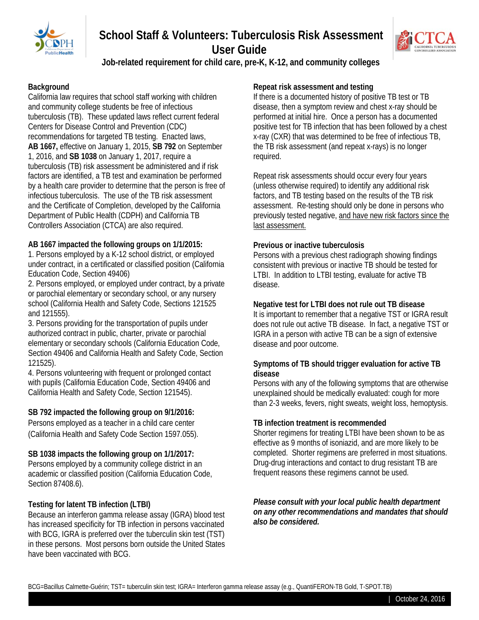

## **School Staff & Volunteers: Tuberculosis Risk Assessment User Guide**



## **Job-related requirement for child care, pre-K, K-12, and community colleges**

#### **Background**

California law requires that school staff working with children and community college students be free of infectious tuberculosis (TB). These updated laws reflect current federal Centers for Disease Control and Prevention (CDC) recommendations for targeted TB testing. Enacted laws, **AB 1667,** effective on January 1, 2015, **SB 792** on September 1, 2016, and **SB 1038** on January 1, 2017, require a tuberculosis (TB) risk assessment be administered and if risk factors are identified, a TB test and examination be performed by a health care provider to determine that the person is free of infectious tuberculosis. The use of the TB risk assessment and the Certificate of Completion, developed by the California Department of Public Health (CDPH) and California TB Controllers Association (CTCA) are also required.

#### **AB 1667 impacted the following groups on 1/1/2015:**

1. Persons employed by a K-12 school district, or employed under contract, in a certificated or classified position (California Education Code, Section 49406)

2. Persons employed, or employed under contract, by a private or parochial elementary or secondary school, or any nursery school (California Health and Safety Code, Sections 121525 and 121555).

3. Persons providing for the transportation of pupils under authorized contract in public, charter, private or parochial elementary or secondary schools (California Education Code, Section 49406 and California Health and Safety Code, Section 121525).

4. Persons volunteering with frequent or prolonged contact with pupils (California Education Code, Section 49406 and California Health and Safety Code, Section 121545).

#### **SB 792 impacted the following group on 9/1/2016:**

Persons employed as a teacher in a child care center (California Health and Safety Code Section 1597.055).

#### **SB 1038 impacts the following group on 1/1/2017:**

Persons employed by a community college district in an academic or classified position (California Education Code, Section 87408.6).

#### **Testing for latent TB infection (LTBI)**

Because an interferon gamma release assay (IGRA) blood test has increased specificity for TB infection in persons vaccinated with BCG, IGRA is preferred over the tuberculin skin test (TST) in these persons. Most persons born outside the United States have been vaccinated with BCG.

#### **Repeat risk assessment and testing**

If there is a documented history of positive TB test or TB disease, then a symptom review and chest x-ray should be performed at initial hire. Once a person has a documented positive test for TB infection that has been followed by a chest x-ray (CXR) that was determined to be free of infectious TB, the TB risk assessment (and repeat x-rays) is no longer required.

Repeat risk assessments should occur every four years (unless otherwise required) to identify any additional risk factors, and TB testing based on the results of the TB risk assessment. Re-testing should only be done in persons who previously tested negative, and have new risk factors since the last assessment.

#### **Previous or inactive tuberculosis**

Persons with a previous chest radiograph showing findings consistent with previous or inactive TB should be tested for LTBI. In addition to LTBI testing, evaluate for active TB disease.

#### **Negative test for LTBI does not rule out TB disease**

It is important to remember that a negative TST or IGRA result does not rule out active TB disease. In fact, a negative TST or IGRA in a person with active TB can be a sign of extensive disease and poor outcome.

#### **Symptoms of TB should trigger evaluation for active TB disease**

Persons with any of the following symptoms that are otherwise unexplained should be medically evaluated: cough for more than 2-3 weeks, fevers, night sweats, weight loss, hemoptysis.

#### **TB infection treatment is recommended**

Shorter regimens for treating LTBI have been shown to be as effective as 9 months of isoniazid, and are more likely to be completed. Shorter regimens are preferred in most situations. Drug-drug interactions and contact to drug resistant TB are frequent reasons these regimens cannot be used.

#### *Please consult with your local public health department on any other recommendations and mandates that should also be considered.*